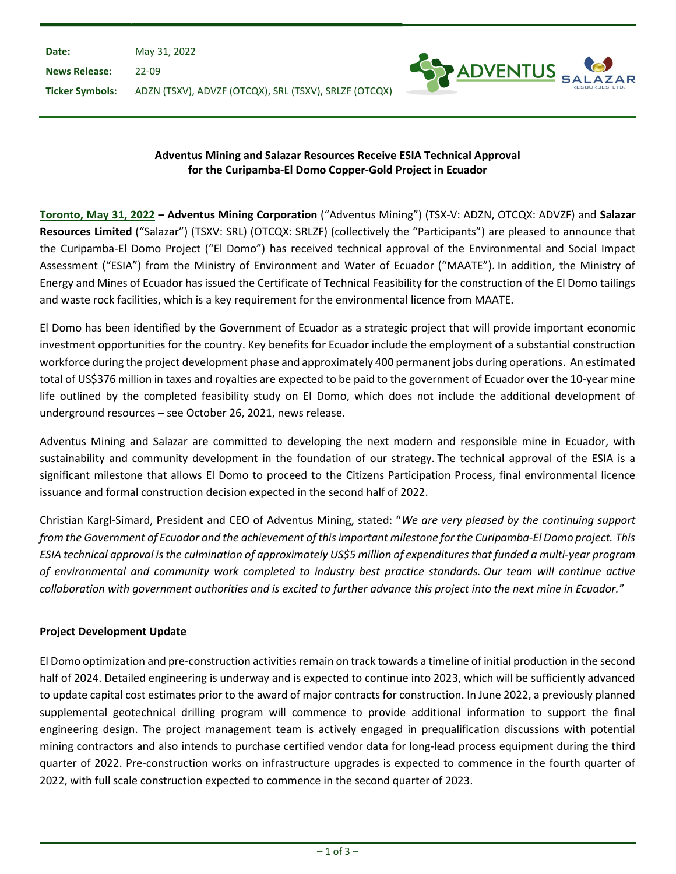| Date:                | May 31, 2022                                          |                  |
|----------------------|-------------------------------------------------------|------------------|
| <b>News Release:</b> | -22-09                                                | <b>SPADVENTU</b> |
| Ticker Symbols:      | ADZN (TSXV), ADVZF (OTCQX), SRL (TSXV), SRLZF (OTCQX) |                  |

## Adventus Mining and Salazar Resources Receive ESIA Technical Approval for the Curipamba-El Domo Copper-Gold Project in Ecuador

Toronto, May 31, 2022 – Adventus Mining Corporation ("Adventus Mining") (TSX-V: ADZN, OTCQX: ADVZF) and Salazar Resources Limited ("Salazar") (TSXV: SRL) (OTCQX: SRLZF) (collectively the "Participants") are pleased to announce that the Curipamba-El Domo Project ("El Domo") has received technical approval of the Environmental and Social Impact Assessment ("ESIA") from the Ministry of Environment and Water of Ecuador ("MAATE"). In addition, the Ministry of Energy and Mines of Ecuador has issued the Certificate of Technical Feasibility for the construction of the El Domo tailings and waste rock facilities, which is a key requirement for the environmental licence from MAATE.

El Domo has been identified by the Government of Ecuador as a strategic project that will provide important economic investment opportunities for the country. Key benefits for Ecuador include the employment of a substantial construction workforce during the project development phase and approximately 400 permanent jobs during operations. An estimated total of US\$376 million in taxes and royalties are expected to be paid to the government of Ecuador over the 10-year mine life outlined by the completed feasibility study on El Domo, which does not include the additional development of underground resources – see October 26, 2021, news release.

Adventus Mining and Salazar are committed to developing the next modern and responsible mine in Ecuador, with sustainability and community development in the foundation of our strategy. The technical approval of the ESIA is a significant milestone that allows El Domo to proceed to the Citizens Participation Process, final environmental licence issuance and formal construction decision expected in the second half of 2022.

Christian Kargl-Simard, President and CEO of Adventus Mining, stated: "We are very pleased by the continuing support from the Government of Ecuador and the achievement of this important milestone for the Curipamba-El Domo project. This ESIA technical approval is the culmination of approximately US\$5 million of expenditures that funded a multi-year program of environmental and community work completed to industry best practice standards. Our team will continue active collaboration with government authorities and is excited to further advance this project into the next mine in Ecuador."

# Project Development Update

El Domo optimization and pre-construction activities remain on track towards a timeline of initial production in the second half of 2024. Detailed engineering is underway and is expected to continue into 2023, which will be sufficiently advanced to update capital cost estimates prior to the award of major contracts for construction. In June 2022, a previously planned supplemental geotechnical drilling program will commence to provide additional information to support the final engineering design. The project management team is actively engaged in prequalification discussions with potential mining contractors and also intends to purchase certified vendor data for long-lead process equipment during the third quarter of 2022. Pre-construction works on infrastructure upgrades is expected to commence in the fourth quarter of 2022, with full scale construction expected to commence in the second quarter of 2023.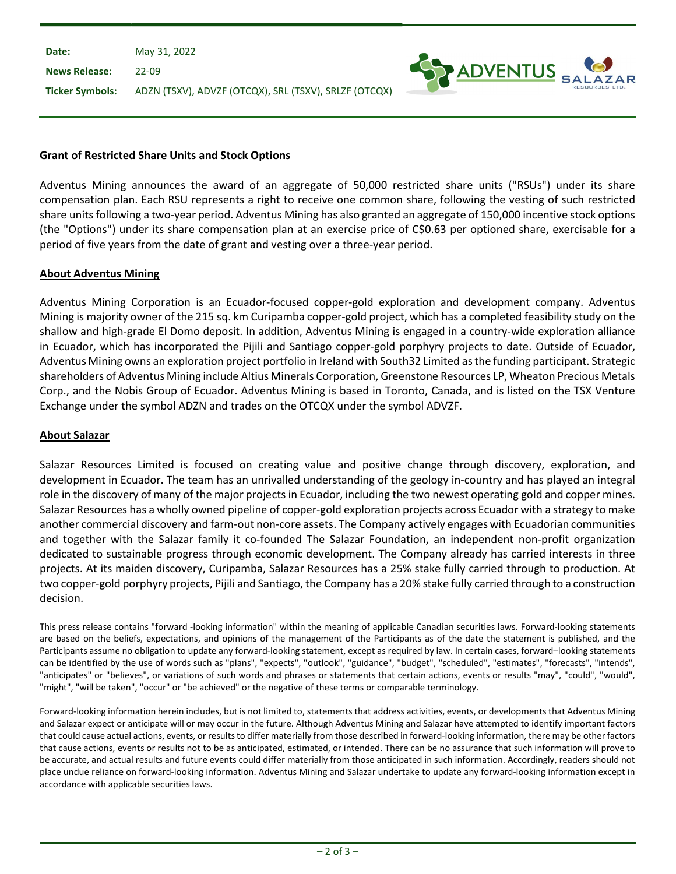Date: News Release: Ticker Symbols: May 31, 2022 22-09 ADZN (TSXV), ADVZF (OTCQX), SRL (TSXV), SRLZF (OTCQX)



### Grant of Restricted Share Units and Stock Options

Adventus Mining announces the award of an aggregate of 50,000 restricted share units ("RSUs") under its share compensation plan. Each RSU represents a right to receive one common share, following the vesting of such restricted share units following a two-year period. Adventus Mining has also granted an aggregate of 150,000 incentive stock options (the "Options") under its share compensation plan at an exercise price of C\$0.63 per optioned share, exercisable for a period of five years from the date of grant and vesting over a three-year period.

### About Adventus Mining

Adventus Mining Corporation is an Ecuador-focused copper-gold exploration and development company. Adventus Mining is majority owner of the 215 sq. km Curipamba copper-gold project, which has a completed feasibility study on the shallow and high-grade El Domo deposit. In addition, Adventus Mining is engaged in a country-wide exploration alliance in Ecuador, which has incorporated the Pijili and Santiago copper-gold porphyry projects to date. Outside of Ecuador, Adventus Mining owns an exploration project portfolio in Ireland with South32 Limited as the funding participant. Strategic shareholders of Adventus Mining include Altius Minerals Corporation, Greenstone Resources LP, Wheaton Precious Metals Corp., and the Nobis Group of Ecuador. Adventus Mining is based in Toronto, Canada, and is listed on the TSX Venture Exchange under the symbol ADZN and trades on the OTCQX under the symbol ADVZF.

#### About Salazar

Salazar Resources Limited is focused on creating value and positive change through discovery, exploration, and development in Ecuador. The team has an unrivalled understanding of the geology in-country and has played an integral role in the discovery of many of the major projects in Ecuador, including the two newest operating gold and copper mines. Salazar Resources has a wholly owned pipeline of copper-gold exploration projects across Ecuador with a strategy to make another commercial discovery and farm-out non-core assets. The Company actively engages with Ecuadorian communities and together with the Salazar family it co-founded The Salazar Foundation, an independent non-profit organization dedicated to sustainable progress through economic development. The Company already has carried interests in three projects. At its maiden discovery, Curipamba, Salazar Resources has a 25% stake fully carried through to production. At two copper-gold porphyry projects, Pijili and Santiago, the Company has a 20% stake fully carried through to a construction decision.

This press release contains "forward -looking information" within the meaning of applicable Canadian securities laws. Forward-looking statements are based on the beliefs, expectations, and opinions of the management of the Participants as of the date the statement is published, and the Participants assume no obligation to update any forward-looking statement, except as required by law. In certain cases, forward–looking statements can be identified by the use of words such as "plans", "expects", "outlook", "guidance", "budget", "scheduled", "estimates", "forecasts", "intends", "anticipates" or "believes", or variations of such words and phrases or statements that certain actions, events or results "may", "could", "would", "might", "will be taken", "occur" or "be achieved" or the negative of these terms or comparable terminology.

Forward-looking information herein includes, but is not limited to, statements that address activities, events, or developments that Adventus Mining and Salazar expect or anticipate will or may occur in the future. Although Adventus Mining and Salazar have attempted to identify important factors that could cause actual actions, events, or results to differ materially from those described in forward-looking information, there may be other factors that cause actions, events or results not to be as anticipated, estimated, or intended. There can be no assurance that such information will prove to be accurate, and actual results and future events could differ materially from those anticipated in such information. Accordingly, readers should not place undue reliance on forward-looking information. Adventus Mining and Salazar undertake to update any forward-looking information except in accordance with applicable securities laws.